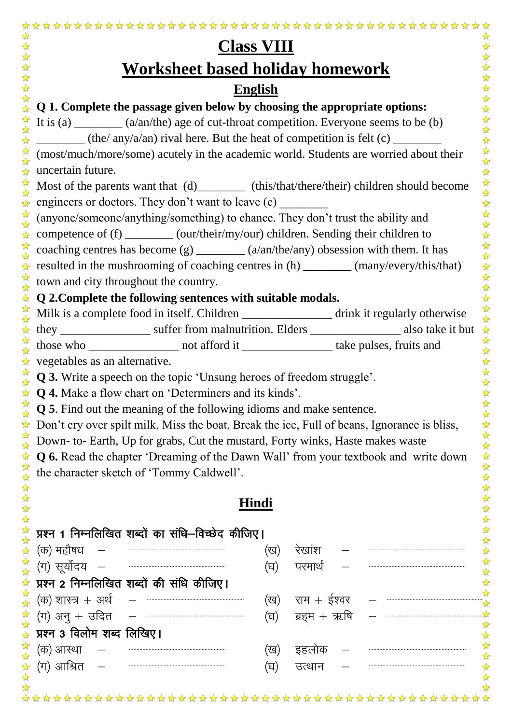| <b>Class VIII</b>                                                                                                                                                                                                                                                                                                                                                                                                                                                                                                        |                                    |  |  |  |  |  |  |
|--------------------------------------------------------------------------------------------------------------------------------------------------------------------------------------------------------------------------------------------------------------------------------------------------------------------------------------------------------------------------------------------------------------------------------------------------------------------------------------------------------------------------|------------------------------------|--|--|--|--|--|--|
| Worksheet based holiday homework                                                                                                                                                                                                                                                                                                                                                                                                                                                                                         |                                    |  |  |  |  |  |  |
| <b>English</b>                                                                                                                                                                                                                                                                                                                                                                                                                                                                                                           |                                    |  |  |  |  |  |  |
| Q 1. Complete the passage given below by choosing the appropriate options:                                                                                                                                                                                                                                                                                                                                                                                                                                               |                                    |  |  |  |  |  |  |
| It is (a) $\frac{1}{\sqrt{2\pi}}$ (a/an/the) age of cut-throat competition. Everyone seems to be (b)                                                                                                                                                                                                                                                                                                                                                                                                                     |                                    |  |  |  |  |  |  |
|                                                                                                                                                                                                                                                                                                                                                                                                                                                                                                                          |                                    |  |  |  |  |  |  |
| ☆<br>(most/much/more/some) acutely in the academic world. Students are worried about their                                                                                                                                                                                                                                                                                                                                                                                                                               |                                    |  |  |  |  |  |  |
| uncertain future.                                                                                                                                                                                                                                                                                                                                                                                                                                                                                                        |                                    |  |  |  |  |  |  |
| $\frac{1}{2}$<br>Most of the parents want that (d)__________ (this/that/there/their) children should become                                                                                                                                                                                                                                                                                                                                                                                                              |                                    |  |  |  |  |  |  |
| $\frac{1}{\mathcal{N}}$<br>engineers or doctors. They don't want to leave (e)                                                                                                                                                                                                                                                                                                                                                                                                                                            |                                    |  |  |  |  |  |  |
| $\frac{1}{2}$<br>(anyone/someone/anything/something) to chance. They don't trust the ability and<br>$\frac{\lambda}{M}$                                                                                                                                                                                                                                                                                                                                                                                                  |                                    |  |  |  |  |  |  |
| competence of (f) _________ (our/their/my/our) children. Sending their children to<br>☆                                                                                                                                                                                                                                                                                                                                                                                                                                  |                                    |  |  |  |  |  |  |
| $\frac{1}{2}$<br>coaching centres has become $(g)$ ________ (a/an/the/any) obsession with them. It has<br>$\frac{\lambda}{\lambda}$                                                                                                                                                                                                                                                                                                                                                                                      |                                    |  |  |  |  |  |  |
| resulted in the mushrooming of coaching centres in (h) _________ (many/every/this/that)                                                                                                                                                                                                                                                                                                                                                                                                                                  |                                    |  |  |  |  |  |  |
| 容<br>town and city throughout the country.                                                                                                                                                                                                                                                                                                                                                                                                                                                                               |                                    |  |  |  |  |  |  |
| Q 2. Complete the following sentences with suitable modals.                                                                                                                                                                                                                                                                                                                                                                                                                                                              |                                    |  |  |  |  |  |  |
| 容<br>Milk is a complete food in itself. Children ________________ drink it regularly otherwise                                                                                                                                                                                                                                                                                                                                                                                                                           |                                    |  |  |  |  |  |  |
|                                                                                                                                                                                                                                                                                                                                                                                                                                                                                                                          | ☆                                  |  |  |  |  |  |  |
| N N                                                                                                                                                                                                                                                                                                                                                                                                                                                                                                                      |                                    |  |  |  |  |  |  |
| vegetables as an alternative.                                                                                                                                                                                                                                                                                                                                                                                                                                                                                            |                                    |  |  |  |  |  |  |
| <b>Q 3.</b> Write a speech on the topic 'Unsung heroes of freedom struggle'.                                                                                                                                                                                                                                                                                                                                                                                                                                             |                                    |  |  |  |  |  |  |
| <b>Q 4.</b> Make a flow chart on 'Determiners and its kinds'.                                                                                                                                                                                                                                                                                                                                                                                                                                                            |                                    |  |  |  |  |  |  |
| <b>Q 5</b> . Find out the meaning of the following idioms and make sentence.                                                                                                                                                                                                                                                                                                                                                                                                                                             | ☆                                  |  |  |  |  |  |  |
| Don't cry over spilt milk, Miss the boat, Break the ice, Full of beans, Ignorance is bliss,<br>☆<br>☆                                                                                                                                                                                                                                                                                                                                                                                                                    | 25 25 25                           |  |  |  |  |  |  |
| Down- to- Earth, Up for grabs, Cut the mustard, Forty winks, Haste makes waste                                                                                                                                                                                                                                                                                                                                                                                                                                           |                                    |  |  |  |  |  |  |
| <b>Q 6.</b> Read the chapter 'Dreaming of the Dawn Wall' from your textbook and write down<br>X<br>☆                                                                                                                                                                                                                                                                                                                                                                                                                     |                                    |  |  |  |  |  |  |
| the character sketch of 'Tommy Caldwell'.                                                                                                                                                                                                                                                                                                                                                                                                                                                                                | 外外外外                               |  |  |  |  |  |  |
|                                                                                                                                                                                                                                                                                                                                                                                                                                                                                                                          | ☆                                  |  |  |  |  |  |  |
|                                                                                                                                                                                                                                                                                                                                                                                                                                                                                                                          | Hindi<br>$\frac{1}{\sqrt{2}}$<br>☆ |  |  |  |  |  |  |
| ☆<br>प्रश्न 1 निम्नलिखित शब्दों का संधि–विच्छेद कीजिए।<br>$\frac{1}{\sqrt{2}}$                                                                                                                                                                                                                                                                                                                                                                                                                                           | $\frac{1}{\sqrt{2}}$<br>☆          |  |  |  |  |  |  |
| (क) महौषध<br>☆                                                                                                                                                                                                                                                                                                                                                                                                                                                                                                           | रेखांश<br>(ख)                      |  |  |  |  |  |  |
| 冷冷<br>(ग) सूर्योदय<br>$\begin{minipage}{.4\linewidth} \begin{tabular}{l} \hline \multicolumn{3}{l}{} & \multicolumn{3}{l}{} & \multicolumn{3}{l}{} \\ \multicolumn{3}{l}{} & \multicolumn{3}{l}{} & \multicolumn{3}{l}{} \\ \multicolumn{3}{l}{} & \multicolumn{3}{l}{} & \multicolumn{3}{l}{} \\ \multicolumn{3}{l}{} & \multicolumn{3}{l}{} \\ \multicolumn{3}{l}{} & \multicolumn{3}{l}{} \\ \multicolumn{3}{l}{} & \multicolumn{3}{l}{} \\ \multicolumn{3}{l}{} & \multicolumn{3}{l}{} \\ \multicolumn{3}{l}{}$      | ☆<br>(घ)<br>परमार्थ                |  |  |  |  |  |  |
| प्रश्न 2 निम्नलिखित शब्दों की संधि कीजिए।<br>☆                                                                                                                                                                                                                                                                                                                                                                                                                                                                           | $\frac{1}{\sqrt{2}}$               |  |  |  |  |  |  |
| 冷冷<br>$\begin{minipage}{.4\linewidth} \begin{tabular}{l} \hline \multicolumn{3}{l}{} & \multicolumn{3}{l}{} & \multicolumn{3}{l}{} \\ \multicolumn{3}{l}{} & \multicolumn{3}{l}{} & \multicolumn{3}{l}{} \\ \multicolumn{3}{l}{} & \multicolumn{3}{l}{} & \multicolumn{3}{l}{} \\ \multicolumn{3}{l}{} & \multicolumn{3}{l}{} & \multicolumn{3}{l}{} \\ \multicolumn{3}{l}{} & \multicolumn{3}{l}{} \\ \multicolumn{3}{l}{} & \multicolumn{3}{l}{} \\ \multicolumn{3}{l}{} & \multicolumn{3}{l}{}$<br>(क) शास्त्र + अर्थ | राम $+$ ईश्वर<br>(ख)               |  |  |  |  |  |  |
| 公文<br>$(\overline{\eta})$ अनु + उदित                                                                                                                                                                                                                                                                                                                                                                                                                                                                                     | ब्रहम $+$ ऋषि<br>(घ)               |  |  |  |  |  |  |
| प्रश्न 3 विलोम शब्द लिखिए।<br>$\frac{\lambda}{M}$                                                                                                                                                                                                                                                                                                                                                                                                                                                                        |                                    |  |  |  |  |  |  |
| 计算<br>(क) आस्था                                                                                                                                                                                                                                                                                                                                                                                                                                                                                                          | (ख)<br>इहलोक                       |  |  |  |  |  |  |
| (ग) आश्रित                                                                                                                                                                                                                                                                                                                                                                                                                                                                                                               | (घ)<br>उत्थान                      |  |  |  |  |  |  |
| 路琴                                                                                                                                                                                                                                                                                                                                                                                                                                                                                                                       |                                    |  |  |  |  |  |  |
|                                                                                                                                                                                                                                                                                                                                                                                                                                                                                                                          |                                    |  |  |  |  |  |  |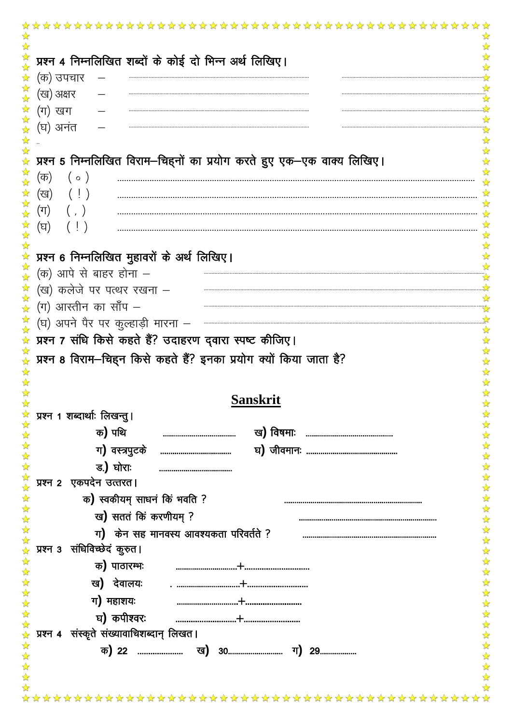| प्रश्न 4 निम्नलिखित शब्दों के कोई दो भिन्न अर्थ लिखिए।                                    |                               |
|-------------------------------------------------------------------------------------------|-------------------------------|
| (क) उपचार                                                                                 |                               |
| (ख) अक्षर                                                                                 |                               |
| (ग) खग                                                                                    |                               |
| (घ) अनंत                                                                                  |                               |
|                                                                                           |                               |
| प्रश्न 5 निम्नलिखित विराम-चिह्नों का प्रयोग करते हुए एक-एक वाक्य लिखिए।                   |                               |
|                                                                                           |                               |
| (क)<br>$( \circ )$                                                                        |                               |
| (ख)<br>$(\bot)$                                                                           |                               |
| $(\Pi)$                                                                                   |                               |
| (घ)                                                                                       |                               |
|                                                                                           |                               |
| प्रश्न 6 निम्नलिखित मुहावरों के अर्थ लिखिए।                                               |                               |
| $($ क) आपे से बाहर होना $-$                                                               |                               |
| (ख) कलेजे पर पत्थर रखना –                                                                 |                               |
| $(\overline{\mathsf{y}})$ आस्तीन का साँप –                                                |                               |
| 容<br>(घ) अपने पैर पर कुल्हाड़ी मारना –                                                    |                               |
| प्रश्न 7 संधि किसे कहते हैं? उदाहरण द्वारा स्पष्ट कीजिए।                                  |                               |
| प्रश्न 8 विराम-चिहन किसे कहते हैं? इनका प्रयोग क्यों किया जाता है?                        |                               |
|                                                                                           |                               |
|                                                                                           |                               |
|                                                                                           | $\frac{1}{\sqrt{2}}$          |
| <b>Sanskrit</b>                                                                           |                               |
| प्रश्न 1 शब्दार्थाः लिखन्तु।                                                              |                               |
| क) पथि<br>                                                                                |                               |
| ग) वस्त्रपुटके<br>                                                                        |                               |
| ड $\int$ घोराः<br>                                                                        |                               |
| 外外外外外<br>प्रश्न २ एकपदेन उत्तरत।                                                          |                               |
| क) स्वकीयम् साधनं किं भवति ?                                                              |                               |
| ख) सततं किं करणीयम् ?                                                                     |                               |
| ग) केन सह मानवस्य आवश्यकता परिवर्तते ?                                                    |                               |
| *******<br>प्रश्न 3 संधिविच्छेदं कुरुत।                                                   |                               |
| क) पाठारम्भः                                                                              |                               |
| ख <b>)</b> देवालयः                                                                        |                               |
| ग) महाशयः                                                                                 |                               |
|                                                                                           |                               |
| 外外外外外外<br>घ) कपीश्वरः                                                                     |                               |
| प्रश्न 4 संस्कृते संख्यावाचिशब्दान् लिखत।<br>$\frac{1}{\sqrt{2}}$<br>$\frac{1}{\sqrt{2}}$ |                               |
| $\frac{1}{\sqrt{2}}$                                                                      |                               |
| $\frac{1}{\sqrt{2}}$<br>$\frac{1}{\sqrt{2}}$                                              | ☆☆☆☆☆☆☆☆☆☆☆☆☆☆☆☆☆☆☆☆☆☆☆☆☆☆☆☆☆ |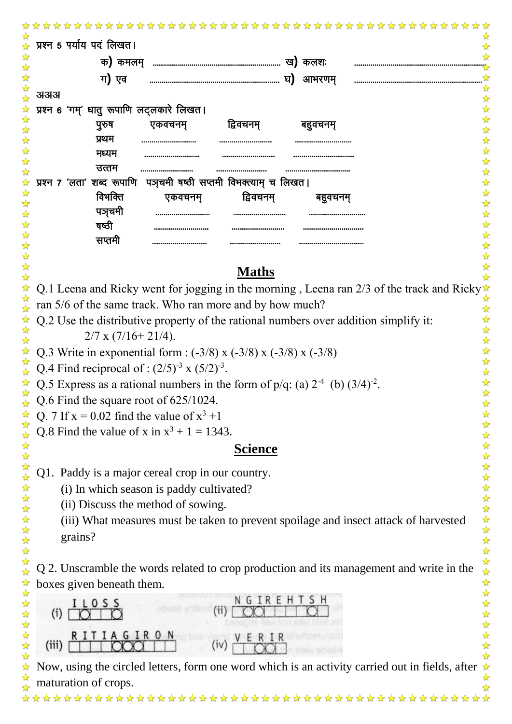| प्रश्न 5 पर्याय पदं लिखत।                                             |  |
|-----------------------------------------------------------------------|--|
| क) कमलम्<br>ख) कलशः                                                   |  |
| ग) एव<br>घ)<br>आभरणम्                                                 |  |
| अअअ                                                                   |  |
| प्रश्न 6 'गम्' धातु रूपाणि लट्लकारे लिखत।                             |  |
| द्विवचनम्<br>पुरुष<br>एकवचनम्<br>बहवचनम                               |  |
| प्रथम<br><br>                                                         |  |
| मध्यम<br><br><br>                                                     |  |
| उत्तम<br><br><br>--------------------------------                     |  |
| पञ्चमी षष्ठी सप्तमी विभक्त्याम् च लिखत।<br>प्रश्न 7 'लता' शब्द रूपाणि |  |
| विभक्ति<br>द्विवचनम्<br>एकवचनम्<br>बहुवचनम्                           |  |
| पञचमी                                                                 |  |
| षष्ठी<br><br><br>                                                     |  |
| सप्तमी<br><br><br>                                                    |  |

## **Maths**

Q.1 Leena and Ricky went for jogging in the morning, Leena ran 2/3 of the track and Ricky ran 5/6 of the same track. Who ran more and by how much?

Q.2 Use the distributive property of the rational numbers over addition simplify it:

 $2/7$  x (7/16+21/4).

华华华华

2524

 $\frac{1}{\sqrt{2}}$ 

 $\frac{1}{\sqrt{2}}$  $\frac{1}{2}$ 

55年

 $\frac{1}{2}$ 

55年

琴琴琴

外外外外外外外外

 $\frac{1}{\sqrt{2}}$  $\frac{1}{\sqrt{2}}$  $\frac{\lambda}{\lambda}$ 

 $\frac{1}{\sqrt{2}}$ ☆

\*\*\*\*\*\*

 $\frac{1}{\sqrt{2}}$ 

 $\frac{1}{\sqrt{2}}$ 

 $\frac{1}{\sqrt{2}}$ 

☆

Q.3 Write in exponential form :  $(-3/8)$  x  $(-3/8)$  x  $(-3/8)$  x  $(-3/8)$ 

Q.4 Find reciprocal of :  $(2/5)^{-3}$  x  $(5/2)^{-3}$ .

Q.5 Express as a rational numbers in the form of  $p/q$ : (a)  $2^{-4}$  (b)  $(3/4)^{-2}$ .

Q.6 Find the square root of 625/1024.

Q. 7 If  $x = 0.02$  find the value of  $x^3 + 1$ 

Q.8 Find the value of x in  $x^3 + 1 = 1343$ .

## **Science**

Q1. Paddy is a major cereal crop in our country.

(i) In which season is paddy cultivated?

(ii) Discuss the method of sowing.

(iii) What measures must be taken to prevent spoilage and insect attack of harvested grains?

Q 2. Unscramble the words related to crop production and its management and write in the boxes given beneath them.



Now, using the circled letters, form one word which is an activity carried out in fields, after maturation of crops.

\*\*\*\*\*\*\*\*\*\*\*\*\*\*\*\*\*\*\*\*\*\*\*\*\*\*\*\*\*\*\*\*\*\*\*\*\*\*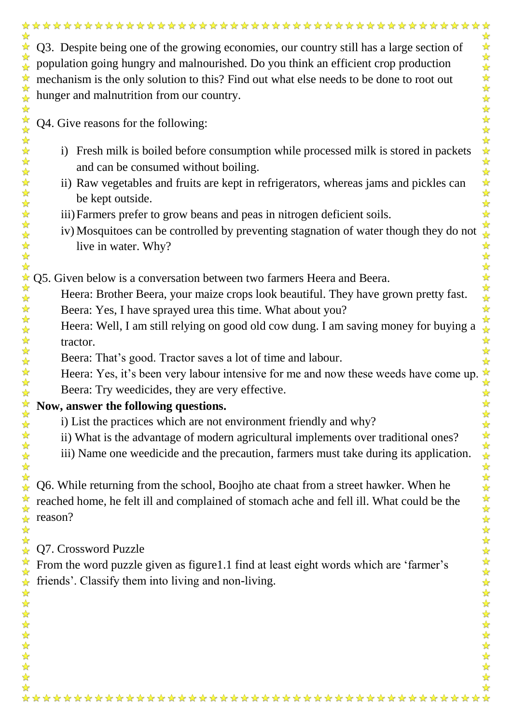Q4. Give reasons for the following:

☆

 $\frac{1}{2}$ ☆  $\mathbf{r}$  $\frac{1}{2}$  $\frac{1}{2}$  $\frac{1}{\sqrt{2}}$  $\frac{1}{\sqrt{2}}$ 

外外外外外外

外外外外外外

 $\frac{1}{\sqrt{2}}$  $\frac{1}{2}$ 

华琴琴:

 $\frac{1}{\sqrt{2}}$  $\frac{1}{\sqrt{2}}$  $\frac{1}{2}$ \*  $\frac{1}{2}$ ☆

外外外外外外外

 $-\frac{1}{2}$  $\frac{1}{\sqrt{2}}$ 

- i) Fresh milk is boiled before consumption while processed milk is stored in packets and can be consumed without boiling.
- ii) Raw vegetables and fruits are kept in refrigerators, whereas jams and pickles can be kept outside.
- iii)Farmers prefer to grow beans and peas in nitrogen deficient soils.
- iv) Mosquitoes can be controlled by preventing stagnation of water though they do not live in water. Why?

女女女女女女女女女女女女女女女女女女女女女女 Q5. Given below is a conversation between two farmers Heera and Beera.

- Heera: Brother Beera, your maize crops look beautiful. They have grown pretty fast. Beera: Yes, I have sprayed urea this time. What about you?
- Heera: Well, I am still relying on good old cow dung. I am saving money for buying a tractor.
- Beera: That's good. Tractor saves a lot of time and labour.
- Heera: Yes, it's been very labour intensive for me and now these weeds have come up. Beera: Try weedicides, they are very effective.

## **Now, answer the following questions.**

- i) List the practices which are not environment friendly and why?
- ii) What is the advantage of modern agricultural implements over traditional ones?
- iii) Name one weedicide and the precaution, farmers must take during its application.

Q6. While returning from the school, Boojho ate chaat from a street hawker. When he reached home, he felt ill and complained of stomach ache and fell ill. What could be the reason?

Q7. Crossword Puzzle

From the word puzzle given as figure1.1 find at least eight words which are 'farmer's friends'. Classify them into living and non-living.